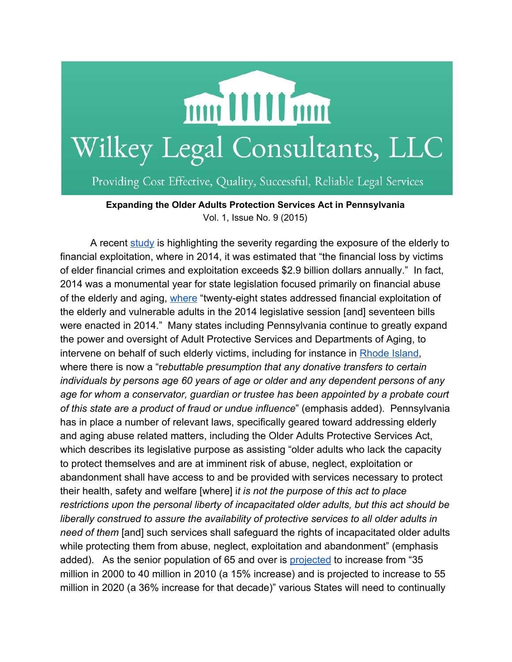

Providing Cost Effective, Quality, Successful, Reliable Legal Services

**Expanding the Older Adults Protection Services Act in Pennsylvania** Vol. 1, Issue No. 9 (2015)

A recent [study](http://www.ncsl.org/research/financial-services-and-commerce/financial-crimes-against-the-elderly-2014-legislation.aspx) is highlighting the severity regarding the exposure of the elderly to financial exploitation, where in 2014, it was estimated that "the financial loss by victims of elder financial crimes and exploitation exceeds \$2.9 billion dollars annually." In fact, 2014 was a monumental year for state legislation focused primarily on financial abuse of the elderly and aging, [where](http://www.ncsl.org/research/financial-services-and-commerce/financial-crimes-against-the-elderly-2014-legislation.aspx) "twenty-eight states addressed financial exploitation of the elderly and vulnerable adults in the 2014 legislative session [and] seventeen bills were enacted in 2014." Many states including Pennsylvania continue to greatly expand the power and oversight of Adult Protective Services and Departments of Aging, to intervene on behalf of such elderly victims, including for instance in [Rhode](http://www.ncsl.org/research/financial-services-and-commerce/financial-crimes-against-the-elderly-2014-legislation.aspx) Island, where there is now a "r*ebuttable presumption that any donative transfers to certain individuals by persons age 60 years of age or older and any dependent persons of any age for whom a conservator, guardian or trustee has been appointed by a probate court of this state are a product of fraud or undue influence*" (emphasis added). Pennsylvania has in place a number of relevant laws, specifically geared toward addressing elderly and aging abuse related matters, including the Older Adults Protective Services Act, which describes its legislative purpose as assisting "older adults who lack the capacity to protect themselves and are at imminent risk of abuse, neglect, exploitation or abandonment shall have access to and be provided with services necessary to protect their health, safety and welfare [where] i*t is not the purpose of this act to place restrictions upon the personal liberty of incapacitated older adults, but this act should be liberally construed to assure the availability of protective services to all older adults in need of them* [and] such services shall safeguard the rights of incapacitated older adults while protecting them from abuse, neglect, exploitation and abandonment" (emphasis added). As the senior population of 65 and over is [projected](http://www.aoa.gov/Aging_Statistics/Profile/2011/4.aspx) to increase from "35 million in 2000 to 40 million in 2010 (a 15% increase) and is projected to increase to 55 million in 2020 (a 36% increase for that decade)" various States will need to continually